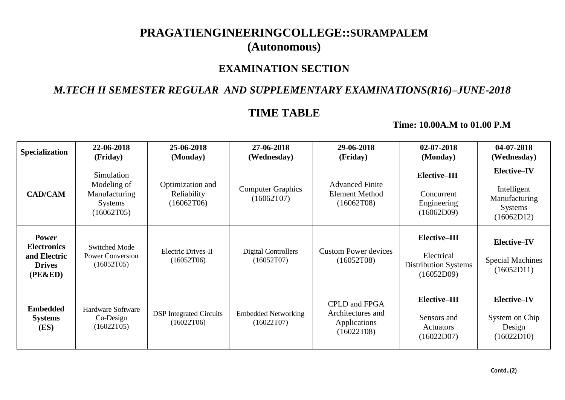# **PRAGATIENGINEERINGCOLLEGE::SURAMPALEM (Autonomous)**

## **EXAMINATION SECTION**

## *M.TECH II SEMESTER REGULAR AND SUPPLEMENTARY EXAMINATIONS(R16)–JUNE-2018*

### **TIME TABLE**

#### **Time: 10.00A.M to 01.00 P.M**

| <b>Specialization</b>                                                          | 22-06-2018<br>(Friday)                                                     | 25-06-2018<br>(Monday)                        | 27-06-2018<br>(Wednesday)                | 29-06-2018<br>(Friday)                                                  | $02 - 07 - 2018$<br>(Monday)                                            | $04 - 07 - 2018$<br>(Wednesday)                                                    |
|--------------------------------------------------------------------------------|----------------------------------------------------------------------------|-----------------------------------------------|------------------------------------------|-------------------------------------------------------------------------|-------------------------------------------------------------------------|------------------------------------------------------------------------------------|
| <b>CAD/CAM</b>                                                                 | Simulation<br>Modeling of<br>Manufacturing<br><b>Systems</b><br>(16062T05) | Optimization and<br>Reliability<br>(16062T06) | <b>Computer Graphics</b><br>(16062T07)   | <b>Advanced Finite</b><br><b>Element Method</b><br>(16062T08)           | Elective-III<br>Concurrent<br>Engineering<br>(16062D09)                 | <b>Elective-IV</b><br>Intelligent<br>Manufacturing<br><b>Systems</b><br>(16062D12) |
| <b>Power</b><br><b>Electronics</b><br>and Electric<br><b>Drives</b><br>(PE&ED) | <b>Switched Mode</b><br><b>Power Conversion</b><br>(16052T05)              | Electric Drives-II<br>(16052T06)              | <b>Digital Controllers</b><br>(16052T07) | <b>Custom Power devices</b><br>(16052T08)                               | Elective-III<br>Electrical<br><b>Distribution Systems</b><br>(16052D09) | <b>Elective-IV</b><br><b>Special Machines</b><br>(16052D11)                        |
| <b>Embedded</b><br><b>Systems</b><br>(ES)                                      | <b>Hardware Software</b><br>$Co-Design$<br>(16022T05)                      | <b>DSP</b> Integrated Circuits<br>(16022T06)  | <b>Embedded Networking</b><br>(16022T07) | <b>CPLD</b> and FPGA<br>Architectures and<br>Applications<br>(16022T08) | Elective-III<br>Sensors and<br>Actuators<br>(16022D07)                  | <b>Elective-IV</b><br>System on Chip<br>Design<br>(16022D10)                       |